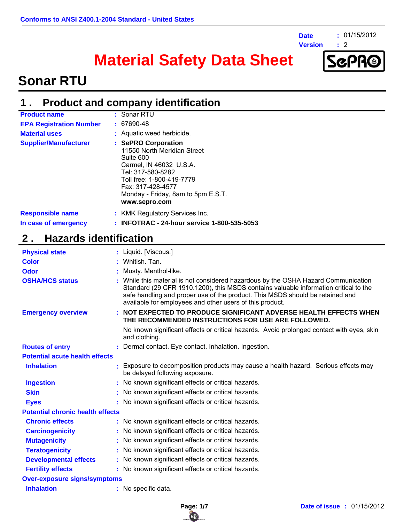

**Version :**

**:** 01/15/2012

 $\div$  2

# **Material Safety Data Sheet**



## **Sonar RTU**

#### **Product and company identification 1 .**

| <b>Product name</b>                             | : Sonar RTU                                                                                                                                                                                                              |
|-------------------------------------------------|--------------------------------------------------------------------------------------------------------------------------------------------------------------------------------------------------------------------------|
| <b>EPA Registration Number</b>                  | $: 67690 - 48$                                                                                                                                                                                                           |
| <b>Material uses</b>                            | : Aquatic weed herbicide.                                                                                                                                                                                                |
| <b>Supplier/Manufacturer</b>                    | : SePRO Corporation<br>11550 North Meridian Street<br>Suite 600<br>Carmel, IN 46032 U.S.A.<br>Tel: 317-580-8282<br>Toll free: 1-800-419-7779<br>Fax: 317-428-4577<br>Monday - Friday, 8am to 5pm E.S.T.<br>www.sepro.com |
| <b>Responsible name</b><br>In case of emergency | : KMK Regulatory Services Inc.<br>: INFOTRAC - 24-hour service 1-800-535-5053                                                                                                                                            |

## **2 . Hazards identification**

| <b>Physical state</b>                   |  | : Liquid. [Viscous.]                                                                                                                                                                                                                                                                                                    |  |
|-----------------------------------------|--|-------------------------------------------------------------------------------------------------------------------------------------------------------------------------------------------------------------------------------------------------------------------------------------------------------------------------|--|
| <b>Color</b>                            |  | : Whitish. Tan.                                                                                                                                                                                                                                                                                                         |  |
| Odor                                    |  | : Musty. Menthol-like.                                                                                                                                                                                                                                                                                                  |  |
| <b>OSHA/HCS status</b>                  |  | : While this material is not considered hazardous by the OSHA Hazard Communication<br>Standard (29 CFR 1910.1200), this MSDS contains valuable information critical to the<br>safe handling and proper use of the product. This MSDS should be retained and<br>available for employees and other users of this product. |  |
| <b>Emergency overview</b>               |  | : NOT EXPECTED TO PRODUCE SIGNIFICANT ADVERSE HEALTH EFFECTS WHEN<br>THE RECOMMENDED INSTRUCTIONS FOR USE ARE FOLLOWED.                                                                                                                                                                                                 |  |
|                                         |  | No known significant effects or critical hazards. Avoid prolonged contact with eyes, skin<br>and clothing.                                                                                                                                                                                                              |  |
| <b>Routes of entry</b>                  |  | : Dermal contact. Eye contact. Inhalation. Ingestion.                                                                                                                                                                                                                                                                   |  |
| <b>Potential acute health effects</b>   |  |                                                                                                                                                                                                                                                                                                                         |  |
| <b>Inhalation</b>                       |  | : Exposure to decomposition products may cause a health hazard. Serious effects may<br>be delayed following exposure.                                                                                                                                                                                                   |  |
| <b>Ingestion</b>                        |  | : No known significant effects or critical hazards.                                                                                                                                                                                                                                                                     |  |
| <b>Skin</b>                             |  | : No known significant effects or critical hazards.                                                                                                                                                                                                                                                                     |  |
| <b>Eyes</b>                             |  | : No known significant effects or critical hazards.                                                                                                                                                                                                                                                                     |  |
| <b>Potential chronic health effects</b> |  |                                                                                                                                                                                                                                                                                                                         |  |
| <b>Chronic effects</b>                  |  | : No known significant effects or critical hazards.                                                                                                                                                                                                                                                                     |  |
| <b>Carcinogenicity</b>                  |  | : No known significant effects or critical hazards.                                                                                                                                                                                                                                                                     |  |
| <b>Mutagenicity</b>                     |  | : No known significant effects or critical hazards.                                                                                                                                                                                                                                                                     |  |
| <b>Teratogenicity</b>                   |  | : No known significant effects or critical hazards.                                                                                                                                                                                                                                                                     |  |
| <b>Developmental effects</b>            |  | : No known significant effects or critical hazards.                                                                                                                                                                                                                                                                     |  |
| <b>Fertility effects</b>                |  | : No known significant effects or critical hazards.                                                                                                                                                                                                                                                                     |  |
| <b>Over-exposure signs/symptoms</b>     |  |                                                                                                                                                                                                                                                                                                                         |  |
| <b>Inhalation</b>                       |  | : No specific data.                                                                                                                                                                                                                                                                                                     |  |

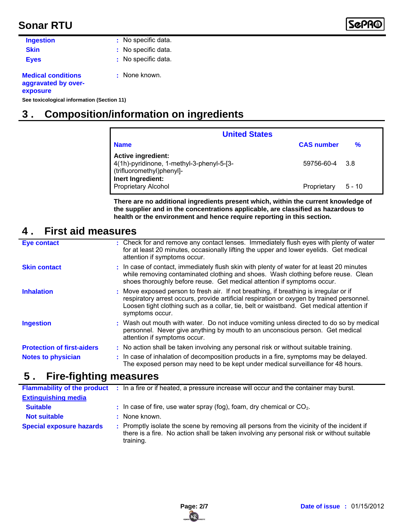

| <b>Ingestion</b>                                             | : No specific data. |
|--------------------------------------------------------------|---------------------|
| <b>Skin</b>                                                  | : No specific data. |
| <b>Eyes</b>                                                  | : No specific data. |
| <b>Medical conditions</b><br>aggravated by over-<br>exposure | : None known.       |
|                                                              |                     |

**See toxicological information (Section 11)**

## **3 . Composition/information on ingredients**

| <b>United States</b>                                                                                |                   |               |
|-----------------------------------------------------------------------------------------------------|-------------------|---------------|
| <b>Name</b>                                                                                         | <b>CAS number</b> | $\frac{9}{6}$ |
| <b>Active ingredient:</b><br>4(1h)-pyridinone, 1-methyl-3-phenyl-5-[3-<br>(trifluoromethyl)phenyl]- | 59756-60-4 3.8    |               |
| Inert Ingredient:<br><b>Proprietary Alcohol</b>                                                     | Proprietary       | $5 - 10$      |

**There are no additional ingredients present which, within the current knowledge of the supplier and in the concentrations applicable, are classified as hazardous to health or the environment and hence require reporting in this section.**

## **4 . First aid measures**

| <b>Eye contact</b>                | : Check for and remove any contact lenses. Immediately flush eyes with plenty of water<br>for at least 20 minutes, occasionally lifting the upper and lower eyelids. Get medical<br>attention if symptoms occur.                                                                                  |
|-----------------------------------|---------------------------------------------------------------------------------------------------------------------------------------------------------------------------------------------------------------------------------------------------------------------------------------------------|
| <b>Skin contact</b>               | : In case of contact, immediately flush skin with plenty of water for at least 20 minutes<br>while removing contaminated clothing and shoes. Wash clothing before reuse. Clean<br>shoes thoroughly before reuse. Get medical attention if symptoms occur.                                         |
| <b>Inhalation</b>                 | : Move exposed person to fresh air. If not breathing, if breathing is irregular or if<br>respiratory arrest occurs, provide artificial respiration or oxygen by trained personnel.<br>Loosen tight clothing such as a collar, tie, belt or waistband. Get medical attention if<br>symptoms occur. |
| <b>Ingestion</b>                  | : Wash out mouth with water. Do not induce vomiting unless directed to do so by medical<br>personnel. Never give anything by mouth to an unconscious person. Get medical<br>attention if symptoms occur.                                                                                          |
| <b>Protection of first-aiders</b> | : No action shall be taken involving any personal risk or without suitable training.                                                                                                                                                                                                              |
| <b>Notes to physician</b>         | : In case of inhalation of decomposition products in a fire, symptoms may be delayed.<br>The exposed person may need to be kept under medical surveillance for 48 hours.                                                                                                                          |

### **5 . Fire-fighting measures**

|                                 | <b>Flammability of the product</b> : In a fire or if heated, a pressure increase will occur and the container may burst.                                                                            |
|---------------------------------|-----------------------------------------------------------------------------------------------------------------------------------------------------------------------------------------------------|
| <b>Extinguishing media</b>      |                                                                                                                                                                                                     |
| <b>Suitable</b>                 | $\therefore$ In case of fire, use water spray (fog), foam, dry chemical or CO <sub>2</sub> .                                                                                                        |
| <b>Not suitable</b>             | : None known.                                                                                                                                                                                       |
| <b>Special exposure hazards</b> | : Promptly isolate the scene by removing all persons from the vicinity of the incident if<br>there is a fire. No action shall be taken involving any personal risk or without suitable<br>training. |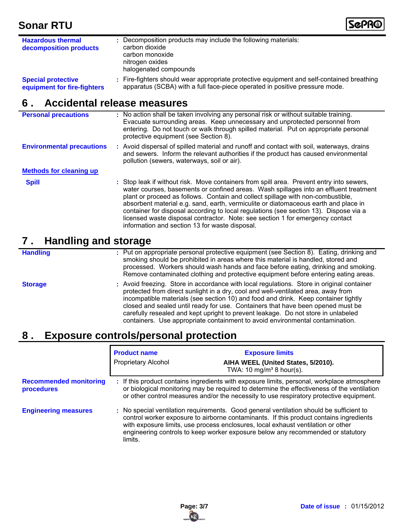

| <b>Hazardous thermal</b><br>decomposition products       | : Decomposition products may include the following materials:<br>carbon dioxide<br>carbon monoxide<br>nitrogen oxides<br>halogenated compounds                           |
|----------------------------------------------------------|--------------------------------------------------------------------------------------------------------------------------------------------------------------------------|
| <b>Special protective</b><br>equipment for fire-fighters | : Fire-fighters should wear appropriate protective equipment and self-contained breathing<br>apparatus (SCBA) with a full face-piece operated in positive pressure mode. |

### **6 . Accidental release measures**

| <b>Personal precautions</b>      | : No action shall be taken involving any personal risk or without suitable training.<br>Evacuate surrounding areas. Keep unnecessary and unprotected personnel from<br>entering. Do not touch or walk through spilled material. Put on appropriate personal<br>protective equipment (see Section 8).                                                                                                                                                                                                                                                                                    |
|----------------------------------|-----------------------------------------------------------------------------------------------------------------------------------------------------------------------------------------------------------------------------------------------------------------------------------------------------------------------------------------------------------------------------------------------------------------------------------------------------------------------------------------------------------------------------------------------------------------------------------------|
| <b>Environmental precautions</b> | : Avoid dispersal of spilled material and runoff and contact with soil, waterways, drains<br>and sewers. Inform the relevant authorities if the product has caused environmental<br>pollution (sewers, waterways, soil or air).                                                                                                                                                                                                                                                                                                                                                         |
| <b>Methods for cleaning up</b>   |                                                                                                                                                                                                                                                                                                                                                                                                                                                                                                                                                                                         |
| <b>Spill</b>                     | : Stop leak if without risk. Move containers from spill area. Prevent entry into sewers,<br>water courses, basements or confined areas. Wash spillages into an effluent treatment<br>plant or proceed as follows. Contain and collect spillage with non-combustible,<br>absorbent material e.g. sand, earth, vermiculite or diatomaceous earth and place in<br>container for disposal according to local regulations (see section 13). Dispose via a<br>licensed waste disposal contractor. Note: see section 1 for emergency contact<br>information and section 13 for waste disposal. |

### **7 . Handling and storage**

| <b>Handling</b> |  |
|-----------------|--|
|                 |  |
|                 |  |
|                 |  |

Put on appropriate personal protective equipment (see Section 8). Eating, drinking and **:** smoking should be prohibited in areas where this material is handled, stored and processed. Workers should wash hands and face before eating, drinking and smoking. Remove contaminated clothing and protective equipment before entering eating areas.

**Storage**

Avoid freezing. Store in accordance with local regulations. Store in original container **:** protected from direct sunlight in a dry, cool and well-ventilated area, away from incompatible materials (see section 10) and food and drink. Keep container tightly closed and sealed until ready for use. Containers that have been opened must be carefully resealed and kept upright to prevent leakage. Do not store in unlabeled containers. Use appropriate containment to avoid environmental contamination.

## **8 . Exposure controls/personal protection**

|                                             | <b>Product name</b><br><b>Proprietary Alcohol</b> | <b>Exposure limits</b><br>AIHA WEEL (United States, 5/2010).<br>TWA: 10 mg/m <sup>3</sup> 8 hour(s).                                                                                                                                                                                                                                                     |
|---------------------------------------------|---------------------------------------------------|----------------------------------------------------------------------------------------------------------------------------------------------------------------------------------------------------------------------------------------------------------------------------------------------------------------------------------------------------------|
| <b>Recommended monitoring</b><br>procedures |                                                   | : If this product contains ingredients with exposure limits, personal, workplace atmosphere<br>or biological monitoring may be required to determine the effectiveness of the ventilation<br>or other control measures and/or the necessity to use respiratory protective equipment.                                                                     |
| <b>Engineering measures</b>                 | limits.                                           | : No special ventilation requirements. Good general ventilation should be sufficient to<br>control worker exposure to airborne contaminants. If this product contains ingredients<br>with exposure limits, use process enclosures, local exhaust ventilation or other<br>engineering controls to keep worker exposure below any recommended or statutory |

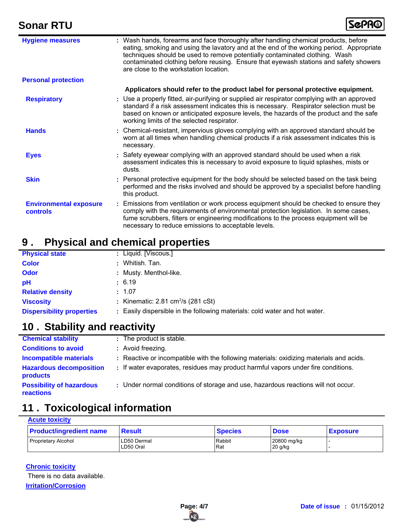

| <b>Hygiene measures</b>                   | : Wash hands, forearms and face thoroughly after handling chemical products, before<br>eating, smoking and using the lavatory and at the end of the working period. Appropriate<br>techniques should be used to remove potentially contaminated clothing. Wash<br>contaminated clothing before reusing. Ensure that eyewash stations and safety showers<br>are close to the workstation location. |
|-------------------------------------------|---------------------------------------------------------------------------------------------------------------------------------------------------------------------------------------------------------------------------------------------------------------------------------------------------------------------------------------------------------------------------------------------------|
| <b>Personal protection</b>                |                                                                                                                                                                                                                                                                                                                                                                                                   |
|                                           | Applicators should refer to the product label for personal protective equipment.                                                                                                                                                                                                                                                                                                                  |
| <b>Respiratory</b>                        | : Use a properly fitted, air-purifying or supplied air respirator complying with an approved<br>standard if a risk assessment indicates this is necessary. Respirator selection must be<br>based on known or anticipated exposure levels, the hazards of the product and the safe<br>working limits of the selected respirator.                                                                   |
| <b>Hands</b>                              | : Chemical-resistant, impervious gloves complying with an approved standard should be<br>worn at all times when handling chemical products if a risk assessment indicates this is<br>necessary.                                                                                                                                                                                                   |
| <b>Eyes</b>                               | : Safety eyewear complying with an approved standard should be used when a risk<br>assessment indicates this is necessary to avoid exposure to liquid splashes, mists or<br>dusts.                                                                                                                                                                                                                |
| <b>Skin</b>                               | : Personal protective equipment for the body should be selected based on the task being<br>performed and the risks involved and should be approved by a specialist before handling<br>this product.                                                                                                                                                                                               |
| <b>Environmental exposure</b><br>controls | : Emissions from ventilation or work process equipment should be checked to ensure they<br>comply with the requirements of environmental protection legislation. In some cases,<br>fume scrubbers, filters or engineering modifications to the process equipment will be<br>necessary to reduce emissions to acceptable levels.                                                                   |

## **9 . Physical and chemical properties**

| <b>Physical state</b>            | : Liquid. [Viscous.]                                                       |
|----------------------------------|----------------------------------------------------------------------------|
| <b>Color</b>                     | : Whitish. Tan.                                                            |
| <b>Odor</b>                      | : Musty. Menthol-like.                                                     |
| pH                               | : 6.19                                                                     |
| <b>Relative density</b>          | : 1.07                                                                     |
| <b>Viscosity</b>                 | : Kinematic: $2.81 \text{ cm}^2/\text{s}$ (281 cSt)                        |
| <b>Dispersibility properties</b> | : Easily dispersible in the following materials: cold water and hot water. |

## **10 . Stability and reactivity**

| <b>Chemical stability</b>                    | : The product is stable.                                                                |
|----------------------------------------------|-----------------------------------------------------------------------------------------|
| <b>Conditions to avoid</b>                   | : Avoid freezing.                                                                       |
| <b>Incompatible materials</b>                | : Reactive or incompatible with the following materials: oxidizing materials and acids. |
| <b>Hazardous decomposition</b><br>products   | : If water evaporates, residues may product harmful vapors under fire conditions.       |
| <b>Possibility of hazardous</b><br>reactions | : Under normal conditions of storage and use, hazardous reactions will not occur.       |

## **11 . Toxicological information**

| <b>Acute toxicity</b>          |                           |                |                          |                 |  |
|--------------------------------|---------------------------|----------------|--------------------------|-----------------|--|
| <b>Product/ingredient name</b> | <b>Result</b>             | <b>Species</b> | <b>Dose</b>              | <b>Exposure</b> |  |
| I Proprietary Alcohol          | ILD50 Dermal<br>LD50 Oral | Rabbit<br>Rat  | 20800 mg/kg<br>$20$ g/kg |                 |  |

### **Chronic toxicity** There is no data available.

**Irritation/Corrosion**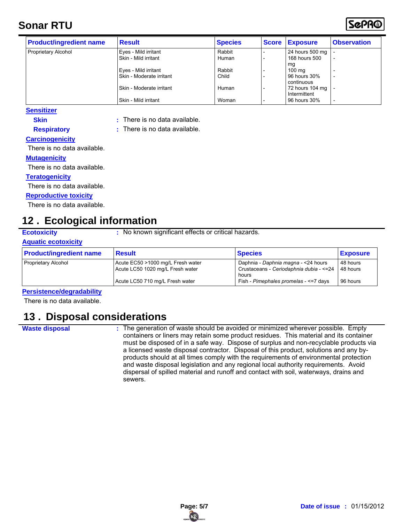

| <b>Product/ingredient name</b> | <b>Result</b>            | <b>Species</b> | <b>Score</b> | <b>Exposure</b>  | <b>Observation</b>       |
|--------------------------------|--------------------------|----------------|--------------|------------------|--------------------------|
| <b>Proprietary Alcohol</b>     | Eyes - Mild irritant     | Rabbit         |              | 24 hours 500 mg  |                          |
|                                | Skin - Mild irritant     | Human          |              | 168 hours 500    |                          |
|                                |                          |                |              | mq               |                          |
|                                | Eyes - Mild irritant     | Rabbit         |              | $100 \text{ mg}$ |                          |
|                                | Skin - Moderate irritant | Child          |              | 96 hours 30%     |                          |
|                                |                          |                |              | continuous       |                          |
|                                | Skin - Moderate irritant | Human          |              | 72 hours 104 mg  | $\overline{\phantom{0}}$ |
|                                |                          |                |              | Intermittent     |                          |
|                                | Skin - Mild irritant     | Woman          |              | 96 hours 30%     |                          |

**Sensitizer**

**Skin**

- **:** There is no data available. **:** There is no data available.
- **Respiratory**
- **Carcinogenicity**

There is no data available.

### **Mutagenicity**

There is no data available.

### **Teratogenicity**

There is no data available.

#### **Reproductive toxicity**

There is no data available.

## **12 . Ecological information**

**Ecotoxicity** : No known significant effects or critical hazards.

### **Aquatic ecotoxicity**

| <b>Product/ingredient name</b> | <b>Result</b>                                                         | <b>Species</b>                                                                            | <b>Exposure</b>      |
|--------------------------------|-----------------------------------------------------------------------|-------------------------------------------------------------------------------------------|----------------------|
| <b>Proprietary Alcohol</b>     | Acute EC50 >1000 mg/L Fresh water<br>Acute LC50 1020 mg/L Fresh water | Daphnia - Daphnia magna - < 24 hours<br>Crustaceans - Ceriodaphnia dubia - <= 24<br>hours | 48 hours<br>48 hours |
|                                | Acute LC50 710 mg/L Fresh water                                       | Fish - Pimephales promelas - <= 7 days                                                    | 96 hours             |

### **Persistence/degradability**

There is no data available.

### **13 . Disposal considerations**

**Waste disposal :**

The generation of waste should be avoided or minimized wherever possible. Empty containers or liners may retain some product residues. This material and its container must be disposed of in a safe way. Dispose of surplus and non-recyclable products via a licensed waste disposal contractor. Disposal of this product, solutions and any byproducts should at all times comply with the requirements of environmental protection and waste disposal legislation and any regional local authority requirements. Avoid dispersal of spilled material and runoff and contact with soil, waterways, drains and sewers.

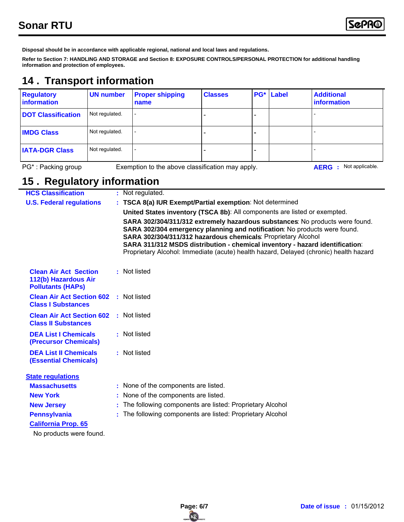**Disposal should be in accordance with applicable regional, national and local laws and regulations.**

**Refer to Section 7: HANDLING AND STORAGE and Section 8: EXPOSURE CONTROLS/PERSONAL PROTECTION for additional handling information and protection of employees.**

## **14 . Transport information**

| <b>Regulatory</b><br>information | <b>UN number</b> | <b>Proper shipping</b><br>name                   | <b>Classes</b> | $PG^*$ | Label | <b>Additional</b><br><i>information</i> |
|----------------------------------|------------------|--------------------------------------------------|----------------|--------|-------|-----------------------------------------|
| <b>DOT Classification</b>        | Not regulated.   |                                                  |                |        |       |                                         |
| <b>IMDG Class</b>                | Not regulated.   |                                                  |                |        |       |                                         |
| <b>IATA-DGR Class</b>            | Not regulated.   |                                                  |                |        |       |                                         |
| PG*: Packing group               |                  | Exemption to the above classification may apply. |                |        |       | Not applicable.<br><b>AERG</b><br>- 2   |

## **15 . Regulatory information**

| <b>HCS Classification</b>                                                        | : Not regulated.                                                                                                                                                                                                                                                                                                                                                                                    |
|----------------------------------------------------------------------------------|-----------------------------------------------------------------------------------------------------------------------------------------------------------------------------------------------------------------------------------------------------------------------------------------------------------------------------------------------------------------------------------------------------|
| <b>U.S. Federal regulations</b>                                                  | : TSCA 8(a) IUR Exempt/Partial exemption: Not determined                                                                                                                                                                                                                                                                                                                                            |
|                                                                                  | United States inventory (TSCA 8b): All components are listed or exempted.                                                                                                                                                                                                                                                                                                                           |
|                                                                                  | SARA 302/304/311/312 extremely hazardous substances: No products were found.<br>SARA 302/304 emergency planning and notification: No products were found.<br>SARA 302/304/311/312 hazardous chemicals: Proprietary Alcohol<br>SARA 311/312 MSDS distribution - chemical inventory - hazard identification:<br>Proprietary Alcohol: Immediate (acute) health hazard, Delayed (chronic) health hazard |
| <b>Clean Air Act Section</b><br>112(b) Hazardous Air<br><b>Pollutants (HAPs)</b> | : Not listed                                                                                                                                                                                                                                                                                                                                                                                        |
| <b>Clean Air Act Section 602</b><br><b>Class I Substances</b>                    | : Not listed                                                                                                                                                                                                                                                                                                                                                                                        |
| <b>Clean Air Act Section 602</b><br><b>Class II Substances</b>                   | : Not listed                                                                                                                                                                                                                                                                                                                                                                                        |
| <b>DEA List I Chemicals</b><br><b>(Precursor Chemicals)</b>                      | : Not listed                                                                                                                                                                                                                                                                                                                                                                                        |
| <b>DEA List II Chemicals</b><br><b>(Essential Chemicals)</b>                     | : Not listed                                                                                                                                                                                                                                                                                                                                                                                        |
| <b>State regulations</b>                                                         |                                                                                                                                                                                                                                                                                                                                                                                                     |
| <b>Massachusetts</b>                                                             | : None of the components are listed.                                                                                                                                                                                                                                                                                                                                                                |
| <b>New York</b>                                                                  | : None of the components are listed.                                                                                                                                                                                                                                                                                                                                                                |
| <b>New Jersey</b>                                                                | : The following components are listed: Proprietary Alcohol                                                                                                                                                                                                                                                                                                                                          |
| <b>Pennsylvania</b>                                                              | : The following components are listed: Proprietary Alcohol                                                                                                                                                                                                                                                                                                                                          |
| <b>California Prop. 65</b>                                                       |                                                                                                                                                                                                                                                                                                                                                                                                     |
| No products were found.                                                          |                                                                                                                                                                                                                                                                                                                                                                                                     |